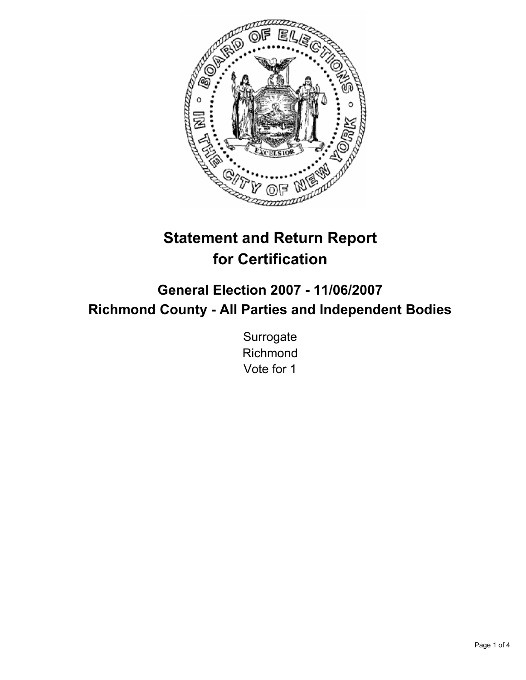

# **Statement and Return Report for Certification**

# **General Election 2007 - 11/06/2007 Richmond County - All Parties and Independent Bodies**

**Surrogate** Richmond Vote for 1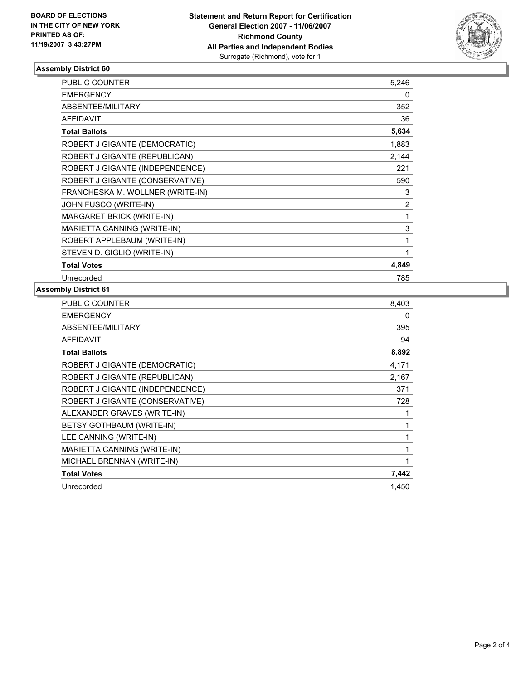

## **Assembly District 60**

| <b>PUBLIC COUNTER</b>            | 5,246          |
|----------------------------------|----------------|
| <b>EMERGENCY</b>                 | 0              |
| ABSENTEE/MILITARY                | 352            |
| <b>AFFIDAVIT</b>                 | 36             |
| <b>Total Ballots</b>             | 5,634          |
| ROBERT J GIGANTE (DEMOCRATIC)    | 1,883          |
| ROBERT J GIGANTE (REPUBLICAN)    | 2,144          |
| ROBERT J GIGANTE (INDEPENDENCE)  | 221            |
| ROBERT J GIGANTE (CONSERVATIVE)  | 590            |
| FRANCHESKA M. WOLLNER (WRITE-IN) | 3              |
| JOHN FUSCO (WRITE-IN)            | $\overline{2}$ |
| MARGARET BRICK (WRITE-IN)        |                |
| MARIETTA CANNING (WRITE-IN)      | 3              |
| ROBERT APPLEBAUM (WRITE-IN)      |                |
| STEVEN D. GIGLIO (WRITE-IN)      |                |
| <b>Total Votes</b>               | 4,849          |
| Unrecorded                       | 785            |

# **Assembly District 61**

| PUBLIC COUNTER                  | 8,403 |
|---------------------------------|-------|
| <b>EMERGENCY</b>                | 0     |
| ABSENTEE/MILITARY               | 395   |
| AFFIDAVIT                       | 94    |
| <b>Total Ballots</b>            | 8,892 |
| ROBERT J GIGANTE (DEMOCRATIC)   | 4,171 |
| ROBERT J GIGANTE (REPUBLICAN)   | 2,167 |
| ROBERT J GIGANTE (INDEPENDENCE) | 371   |
| ROBERT J GIGANTE (CONSERVATIVE) | 728   |
| ALEXANDER GRAVES (WRITE-IN)     |       |
| BETSY GOTHBAUM (WRITE-IN)       |       |
| LEE CANNING (WRITE-IN)          |       |
| MARIETTA CANNING (WRITE-IN)     |       |
| MICHAEL BRENNAN (WRITE-IN)      |       |
| <b>Total Votes</b>              | 7,442 |
| Unrecorded                      | 1,450 |
|                                 |       |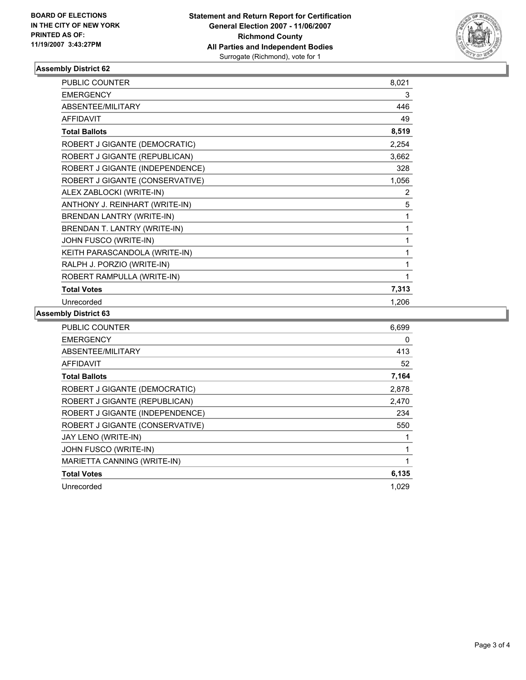

## **Assembly District 62**

| <b>PUBLIC COUNTER</b>            | 8,021          |  |
|----------------------------------|----------------|--|
| <b>EMERGENCY</b>                 | 3              |  |
| ABSENTEE/MILITARY                | 446            |  |
| <b>AFFIDAVIT</b>                 | 49             |  |
| <b>Total Ballots</b>             | 8,519          |  |
| ROBERT J GIGANTE (DEMOCRATIC)    | 2,254          |  |
| ROBERT J GIGANTE (REPUBLICAN)    | 3,662          |  |
| ROBERT J GIGANTE (INDEPENDENCE)  | 328            |  |
| ROBERT J GIGANTE (CONSERVATIVE)  | 1,056          |  |
| ALEX ZABLOCKI (WRITE-IN)         | $\overline{2}$ |  |
| ANTHONY J. REINHART (WRITE-IN)   | 5              |  |
| <b>BRENDAN LANTRY (WRITE-IN)</b> |                |  |
| BRENDAN T. LANTRY (WRITE-IN)     |                |  |
| JOHN FUSCO (WRITE-IN)            |                |  |
| KEITH PARASCANDOLA (WRITE-IN)    |                |  |
| RALPH J. PORZIO (WRITE-IN)       |                |  |
| ROBERT RAMPULLA (WRITE-IN)       |                |  |
| <b>Total Votes</b>               | 7,313          |  |
| Unrecorded                       | 1,206          |  |

## **Assembly District 63**

| <b>PUBLIC COUNTER</b>           | 6,699 |
|---------------------------------|-------|
| <b>EMERGENCY</b>                | 0     |
| ABSENTEE/MILITARY               | 413   |
| <b>AFFIDAVIT</b>                | 52    |
| <b>Total Ballots</b>            | 7,164 |
| ROBERT J GIGANTE (DEMOCRATIC)   | 2,878 |
| ROBERT J GIGANTE (REPUBLICAN)   | 2,470 |
| ROBERT J GIGANTE (INDEPENDENCE) | 234   |
| ROBERT J GIGANTE (CONSERVATIVE) | 550   |
| JAY LENO (WRITE-IN)             |       |
| JOHN FUSCO (WRITE-IN)           |       |
| MARIETTA CANNING (WRITE-IN)     |       |
| <b>Total Votes</b>              | 6,135 |
| Unrecorded                      | 1,029 |
|                                 |       |